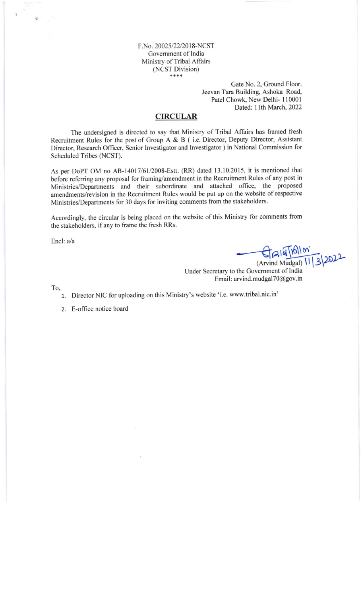F.No. 20025/22/2018-NCST Government of India Ministry of Tribal Affairs (NCST Division) \*\*\*\*

> Gate No. 2, Ground Floor. Jeevan Tara Building, Ashoka Road, Patel Chowk, New Delhi-110001 Dated: 11th March, 2022

# **CIRCULAR**

The undersigned is directed to say that Ministry of Tribal Affairs has framed fresh Recruitment Rules for the post of Group A & B (i.e. Director, Deputy Director, Assistant Director, Research Officer, Senior Investigator and Investigator ) in National Commission for Scheduled Tribes (NCST).

As per DoPT OM no AB-14017/61/2008-Estt. (RR) dated 13.10.2015, it is mentioned that before referring any proposal for framing/amendment in the Recruitment Rules of any post in Ministries/Departments and their subordinate and attached office, the proposed amendments/revision in the Recruitment Rules would be put up on the website of respective Ministries/Departments for 30 days for inviting comments from the stakeholders.

Accordingly, the circular is being placed on the website of this Ministry for comments from the stakeholders, if any to frame the fresh RRs.

Encl: a/a

Grald [16] (m'<br>(Arvind Mudgal) 11 3 2022

Under Secretary to the Government of India Email: arvind.mudgal70@gov.in

To,

- 1. Director NIC for uploading on this Ministry's website 'í.e. www.tribal.nic.in'
- 2. E-office notice board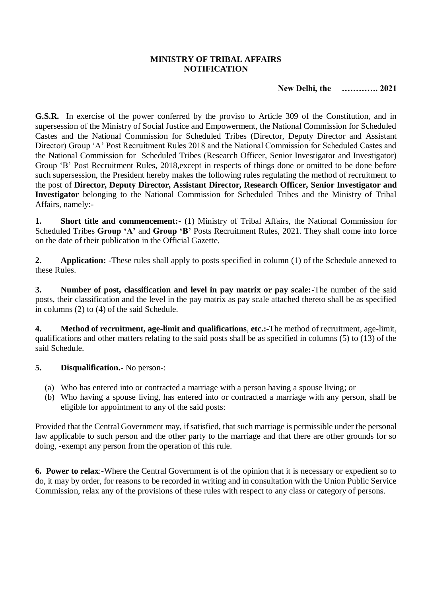#### **MINISTRY OF TRIBAL AFFAIRS NOTIFICATION**

# **New Delhi, the …………. 2021**

**G.S.R.** In exercise of the power conferred by the proviso to Article 309 of the Constitution, and in supersession of the Ministry of Social Justice and Empowerment, the National Commission for Scheduled Castes and the National Commission for Scheduled Tribes (Director, Deputy Director and Assistant Director) Group 'A' Post Recruitment Rules 2018 and the National Commission for Scheduled Castes and the National Commission for Scheduled Tribes (Research Officer, Senior Investigator and Investigator) Group 'B' Post Recruitment Rules, 2018,except in respects of things done or omitted to be done before such supersession, the President hereby makes the following rules regulating the method of recruitment to the post of **Director, Deputy Director, Assistant Director, Research Officer, Senior Investigator and Investigator** belonging to the National Commission for Scheduled Tribes and the Ministry of Tribal Affairs, namely:-

**1. Short title and commencement:-** (1) Ministry of Tribal Affairs, the National Commission for Scheduled Tribes **Group 'A'** and **Group 'B'** Posts Recruitment Rules, 2021. They shall come into force on the date of their publication in the Official Gazette.

**2. Application:** -These rules shall apply to posts specified in column (1) of the Schedule annexed to these Rules.

**3. Number of post, classification and level in pay matrix or pay scale:-**The number of the said posts, their classification and the level in the pay matrix as pay scale attached thereto shall be as specified in columns (2) to (4) of the said Schedule.

**4. Method of recruitment, age-limit and qualifications**, **etc.:-**The method of recruitment, age-limit, qualifications and other matters relating to the said posts shall be as specified in columns (5) to (13) of the said Schedule.

## **5. Disqualification.-** No person-:

- (a) Who has entered into or contracted a marriage with a person having a spouse living; or
- (b) Who having a spouse living, has entered into or contracted a marriage with any person, shall be eligible for appointment to any of the said posts:

Provided that the Central Government may, if satisfied, that such marriage is permissible under the personal law applicable to such person and the other party to the marriage and that there are other grounds for so doing, -exempt any person from the operation of this rule.

**6. Power to relax**:-Where the Central Government is of the opinion that it is necessary or expedient so to do, it may by order, for reasons to be recorded in writing and in consultation with the Union Public Service Commission, relax any of the provisions of these rules with respect to any class or category of persons.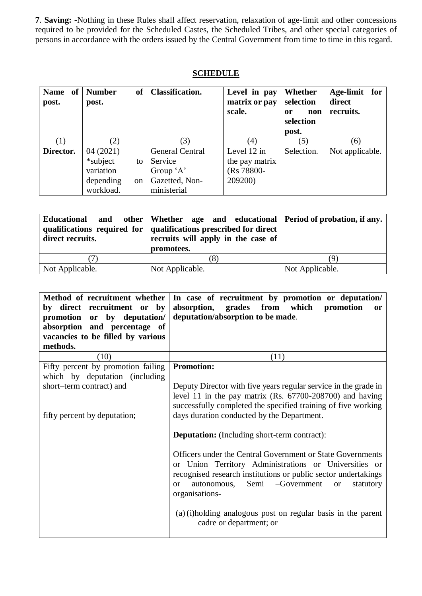**7**. **Saving: -**Nothing in these Rules shall affect reservation, relaxation of age-limit and other concessions required to be provided for the Scheduled Castes, the Scheduled Tribes, and other special categories of persons in accordance with the orders issued by the Central Government from time to time in this regard.

### **SCHEDULE**

| Name of<br>post. | <b>of</b><br><b>Number</b><br>post. | <b>Classification.</b> | Level in pay<br>matrix or pay<br>scale. | Whether<br>selection<br>non<br>0r<br>selection<br>post. | Age-limit<br>for<br>direct<br>recruits. |
|------------------|-------------------------------------|------------------------|-----------------------------------------|---------------------------------------------------------|-----------------------------------------|
| $\left(1\right)$ | (2)                                 | 3)                     | (4)                                     | (5)                                                     | (6)                                     |
| Director.        | 04(2021)                            | <b>General Central</b> | Level 12 in                             | Selection.                                              | Not applicable.                         |
|                  | *subject<br>to                      | Service                | the pay matrix                          |                                                         |                                         |
|                  | variation                           | Group 'A'              | (Rs 78800-                              |                                                         |                                         |
|                  | depending<br><sub>on</sub>          | Gazetted, Non-         | 209200)                                 |                                                         |                                         |
|                  | workload.                           | ministerial            |                                         |                                                         |                                         |

| direct recruits. | Educational and other Whether age and educational Period of probation, if any.<br>qualifications required for qualifications prescribed for direct<br>recruits will apply in the case of<br>promotees. |                 |
|------------------|--------------------------------------------------------------------------------------------------------------------------------------------------------------------------------------------------------|-----------------|
|                  |                                                                                                                                                                                                        | J.              |
| Not Applicable.  | Not Applicable.                                                                                                                                                                                        | Not Applicable. |

| Method of recruitment whether<br>by direct recruitment or by<br>promotion or by deputation/<br>absorption and percentage of<br>vacancies to be filled by various<br>methods. | In case of recruitment by promotion or deputation/<br>absorption, grades from which<br>promotion<br><b>or</b><br>deputation/absorption to be made.                                                                                                                                      |  |
|------------------------------------------------------------------------------------------------------------------------------------------------------------------------------|-----------------------------------------------------------------------------------------------------------------------------------------------------------------------------------------------------------------------------------------------------------------------------------------|--|
| (10)                                                                                                                                                                         | (11)                                                                                                                                                                                                                                                                                    |  |
| Fifty percent by promotion failing<br>which by deputation (including<br>short-term contract) and                                                                             | <b>Promotion:</b><br>Deputy Director with five years regular service in the grade in                                                                                                                                                                                                    |  |
| fifty percent by deputation;                                                                                                                                                 | level 11 in the pay matrix $(Rs. 67700-208700)$ and having<br>successfully completed the specified training of five working<br>days duration conducted by the Department.                                                                                                               |  |
|                                                                                                                                                                              | <b>Deputation:</b> (Including short-term contract):                                                                                                                                                                                                                                     |  |
|                                                                                                                                                                              | Officers under the Central Government or State Governments<br>or Union Territory Administrations or Universities or<br>recognised research institutions or public sector undertakings<br>-Government<br>Semi<br>autonomous,<br>statutory<br><sub>or</sub><br>$\alpha$<br>organisations- |  |
|                                                                                                                                                                              | (a) (i)holding analogous post on regular basis in the parent<br>cadre or department; or                                                                                                                                                                                                 |  |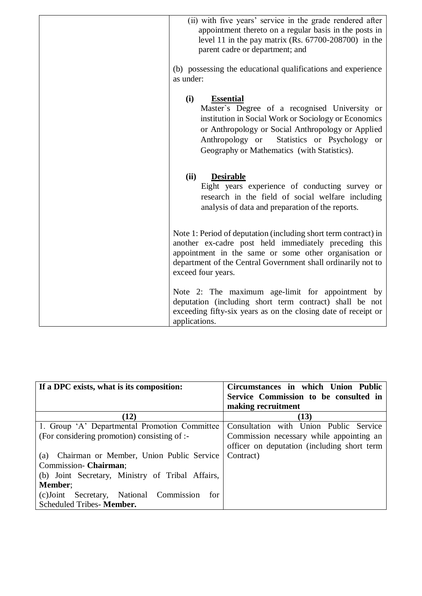| (ii) with five years' service in the grade rendered after<br>appointment thereto on a regular basis in the posts in<br>level 11 in the pay matrix (Rs. $67700 - 208700$ ) in the<br>parent cadre or department; and                                                                    |
|----------------------------------------------------------------------------------------------------------------------------------------------------------------------------------------------------------------------------------------------------------------------------------------|
| (b) possessing the educational qualifications and experience<br>as under:                                                                                                                                                                                                              |
| (i)<br><b>Essential</b><br>Master's Degree of a recognised University or<br>institution in Social Work or Sociology or Economics<br>or Anthropology or Social Anthropology or Applied<br>Statistics or Psychology or<br>Anthropology or<br>Geography or Mathematics (with Statistics). |
| (ii)<br><b>Desirable</b><br>Eight years experience of conducting survey or<br>research in the field of social welfare including<br>analysis of data and preparation of the reports.                                                                                                    |
| Note 1: Period of deputation (including short term contract) in<br>another ex-cadre post held immediately preceding this<br>appointment in the same or some other organisation or<br>department of the Central Government shall ordinarily not to<br>exceed four years.                |
| Note 2: The maximum age-limit for appointment by<br>deputation (including short term contract) shall be not<br>exceeding fifty-six years as on the closing date of receipt or<br>applications.                                                                                         |

| If a DPC exists, what is its composition:        | Circumstances in which Union Public         |
|--------------------------------------------------|---------------------------------------------|
|                                                  | Service Commission to be consulted in       |
|                                                  | making recruitment                          |
| (12)                                             | (13)                                        |
| 1. Group 'A' Departmental Promotion Committee    | Consultation with Union Public Service      |
| (For considering promotion) consisting of :-     | Commission necessary while appointing an    |
|                                                  | officer on deputation (including short term |
| Chairman or Member, Union Public Service<br>(a)  | Contract)                                   |
| Commission- Chairman;                            |                                             |
| (b) Joint Secretary, Ministry of Tribal Affairs, |                                             |
| Member;                                          |                                             |
| (c) Joint Secretary, National Commission<br>for  |                                             |
| Scheduled Tribes- Member.                        |                                             |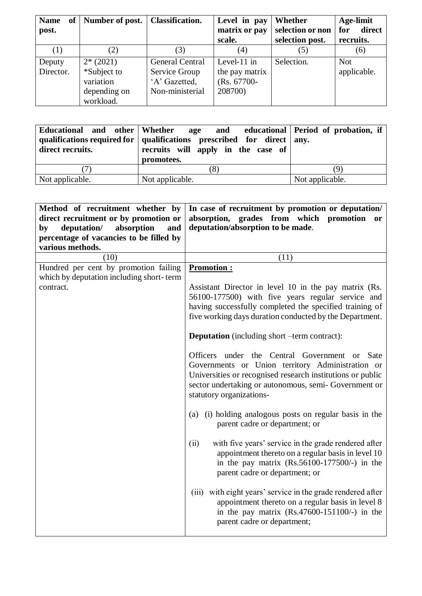| <b>Name</b><br>of <sub>1</sub> | Number of post. | <b>Classification.</b> | Level in pay   | Whether          | Age-limit     |
|--------------------------------|-----------------|------------------------|----------------|------------------|---------------|
| post.                          |                 |                        | matrix or pay  | selection or non | direct<br>for |
|                                |                 |                        | scale.         | selection post.  | recruits.     |
| (1)                            | (2)             | (3)                    | (4)            | (5)              | (6)           |
| Deputy                         | $2*(2021)$      | <b>General Central</b> | Level- $11$ in | Selection.       | <b>Not</b>    |
| Director.                      | *Subject to     | Service Group          | the pay matrix |                  | applicable.   |
|                                | variation       | 'A' Gazetted,          | (Rs. 67700-    |                  |               |
|                                | depending on    | Non-ministerial        | 208700)        |                  |               |
|                                | workload.       |                        |                |                  |               |

| Educational and other Whether<br>direct recruits. | age and educational Period of probation, if<br>qualifications required for $\vert$ qualifications prescribed for direct $\vert$ any.<br>recruits will apply in the case of<br>promotees. |                 |
|---------------------------------------------------|------------------------------------------------------------------------------------------------------------------------------------------------------------------------------------------|-----------------|
| ' / 1                                             | (8)                                                                                                                                                                                      | g,              |
| Not applicable.                                   | Not applicable.                                                                                                                                                                          | Not applicable. |

| Method of recruitment whether by         | In case of recruitment by promotion or deputation/                            |
|------------------------------------------|-------------------------------------------------------------------------------|
| direct recruitment or by promotion or    | absorption, grades from which promotion<br><b>or</b>                          |
| deputation/<br>absorption<br>and<br>by   | deputation/absorption to be made.                                             |
| percentage of vacancies to be filled by  |                                                                               |
| various methods.                         |                                                                               |
| (10)                                     | (11)                                                                          |
| Hundred per cent by promotion failing    | <b>Promotion:</b>                                                             |
| which by deputation including short-term |                                                                               |
| contract.                                | Assistant Director in level 10 in the pay matrix (Rs.                         |
|                                          | 56100-177500) with five years regular service and                             |
|                                          | having successfully completed the specified training of                       |
|                                          | five working days duration conducted by the Department.                       |
|                                          |                                                                               |
|                                          | <b>Deputation</b> (including short –term contract):                           |
|                                          | Officers under the Central Government or Sate                                 |
|                                          | Governments or Union territory Administration or                              |
|                                          | Universities or recognised research institutions or public                    |
|                                          | sector undertaking or autonomous, semi- Government or                         |
|                                          | statutory organizations-                                                      |
|                                          |                                                                               |
|                                          | (a) (i) holding analogous posts on regular basis in the                       |
|                                          | parent cadre or department; or                                                |
|                                          |                                                                               |
|                                          | with five years' service in the grade rendered after<br>(ii)                  |
|                                          | appointment thereto on a regular basis in level 10                            |
|                                          | in the pay matrix $(Rs.56100-177500/-)$ in the                                |
|                                          | parent cadre or department; or                                                |
|                                          |                                                                               |
|                                          | (iii) with eight years' service in the grade rendered after                   |
|                                          | appointment thereto on a regular basis in level 8                             |
|                                          | in the pay matrix $(Rs.47600-151100/-)$ in the<br>parent cadre or department; |
|                                          |                                                                               |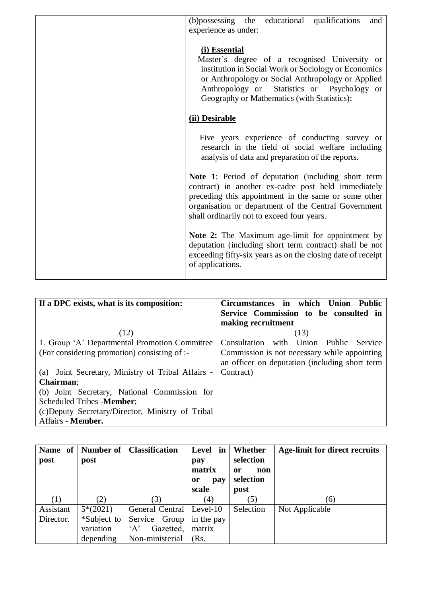| (b)possessing the educational qualifications<br>and<br>experience as under:                                                                                                                                                                                               |
|---------------------------------------------------------------------------------------------------------------------------------------------------------------------------------------------------------------------------------------------------------------------------|
| (i) Essential<br>Master's degree of a recognised University or<br>institution in Social Work or Sociology or Economics<br>or Anthropology or Social Anthropology or Applied<br>Anthropology or Statistics or Psychology or<br>Geography or Mathematics (with Statistics); |
| (ii) Desirable                                                                                                                                                                                                                                                            |
| Five years experience of conducting survey or<br>research in the field of social welfare including<br>analysis of data and preparation of the reports.                                                                                                                    |
| Note 1: Period of deputation (including short term<br>contract) in another ex-cadre post held immediately<br>preceding this appointment in the same or some other<br>organisation or department of the Central Government<br>shall ordinarily not to exceed four years.   |
| Note 2: The Maximum age-limit for appointment by<br>deputation (including short term contract) shall be not<br>exceeding fifty-six years as on the closing date of receipt<br>of applications.                                                                            |

| If a DPC exists, what is its composition:            | Circumstances in which<br>Union Public                    |
|------------------------------------------------------|-----------------------------------------------------------|
|                                                      | Service Commission to be consulted in                     |
|                                                      | making recruitment                                        |
| (12)                                                 | (13)                                                      |
| 1. Group 'A' Departmental Promotion Committee        | Union<br>Consultation<br>Public<br>with<br><b>Service</b> |
| (For considering promotion) consisting of :-         | Commission is not necessary while appointing              |
|                                                      | an officer on deputation (including short term            |
| Joint Secretary, Ministry of Tribal Affairs -<br>(a) | Contract)                                                 |
| Chairman;                                            |                                                           |
| (b) Joint Secretary, National Commission for         |                                                           |
| Scheduled Tribes - Member;                           |                                                           |
| (c) Deputy Secretary/Director, Ministry of Tribal    |                                                           |
| Affairs - Member.                                    |                                                           |

| post      | post        | Name of   Number of   Classification | Level in<br>pay<br>matrix<br>pay<br><sub>or</sub><br>scale | Whether<br>selection<br>non<br>or<br>selection<br>post | Age-limit for direct recruits |
|-----------|-------------|--------------------------------------|------------------------------------------------------------|--------------------------------------------------------|-------------------------------|
|           | (2)         | (3)                                  | (4)                                                        | (5)                                                    | (6)                           |
| Assistant | $5*(2021)$  | General Central   Level-10           |                                                            | Selection                                              | Not Applicable                |
| Director. | *Subject to | Service Group                        | in the pay                                                 |                                                        |                               |
|           | variation   | Gazetted,<br>$\Delta$                | matrix                                                     |                                                        |                               |
|           | depending   | Non-ministerial                      | (Rs.                                                       |                                                        |                               |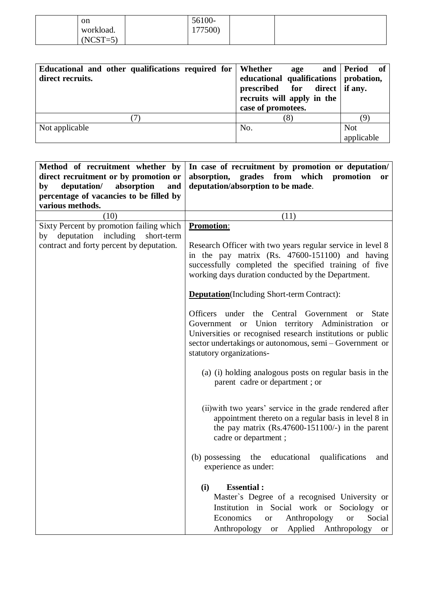| on         | 56100-  |  |  |
|------------|---------|--|--|
| workload.  | 177500) |  |  |
| $(NCST=5)$ |         |  |  |

| Educational and other qualifications required for Whether<br>direct recruits. | age<br>educational qualifications   probation,<br>prescribed for direct if any.<br>recruits will apply in the<br>case of promotees. | and Period of            |
|-------------------------------------------------------------------------------|-------------------------------------------------------------------------------------------------------------------------------------|--------------------------|
|                                                                               | (8)                                                                                                                                 |                          |
| Not applicable                                                                | No.                                                                                                                                 | <b>Not</b><br>applicable |

| Method of recruitment whether by          | In case of recruitment by promotion or deputation/                                                                                                                                                                                                                             |
|-------------------------------------------|--------------------------------------------------------------------------------------------------------------------------------------------------------------------------------------------------------------------------------------------------------------------------------|
| direct recruitment or by promotion or     | absorption, grades from which promotion<br><sub>or</sub>                                                                                                                                                                                                                       |
| deputation/<br>absorption<br>and<br>by    | deputation/absorption to be made.                                                                                                                                                                                                                                              |
| percentage of vacancies to be filled by   |                                                                                                                                                                                                                                                                                |
| various methods.                          |                                                                                                                                                                                                                                                                                |
| (10)                                      | (11)                                                                                                                                                                                                                                                                           |
| Sixty Percent by promotion failing which  | <b>Promotion:</b>                                                                                                                                                                                                                                                              |
| by deputation including<br>short-term     |                                                                                                                                                                                                                                                                                |
| contract and forty percent by deputation. | Research Officer with two years regular service in level 8<br>in the pay matrix (Rs. 47600-151100) and having<br>successfully completed the specified training of five<br>working days duration conducted by the Department.                                                   |
|                                           | <b>Deputation</b> (Including Short-term Contract):                                                                                                                                                                                                                             |
|                                           | Officers under the Central Government<br><b>State</b><br><sub>or</sub><br>Government or Union territory Administration or<br>Universities or recognised research institutions or public<br>sector undertakings or autonomous, semi - Government or<br>statutory organizations- |
|                                           | (a) (i) holding analogous posts on regular basis in the<br>parent cadre or department; or                                                                                                                                                                                      |
|                                           | (ii) with two years' service in the grade rendered after<br>appointment thereto on a regular basis in level 8 in<br>the pay matrix $(Rs.47600-151100/-)$ in the parent<br>cadre or department;                                                                                 |
|                                           | (b) possessing the educational qualifications<br>and<br>experience as under:                                                                                                                                                                                                   |
|                                           | <b>Essential:</b><br>(i)<br>Master's Degree of a recognised University or<br>Institution in Social work or Sociology or<br>Economics<br>Anthropology<br>Social<br><b>or</b><br><b>or</b><br>Anthropology or Applied Anthropology or                                            |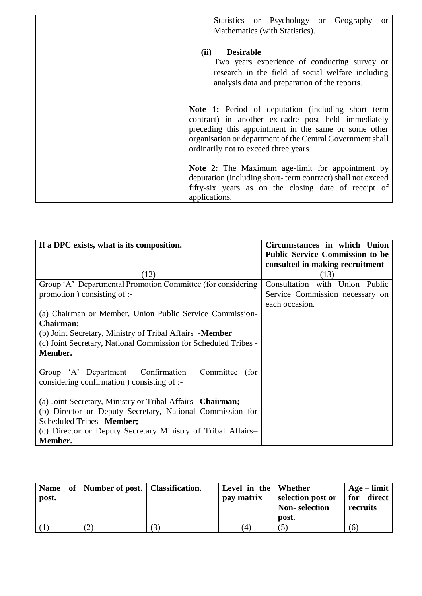| Statistics or Psychology or Geography<br><sub>or</sub><br>Mathematics (with Statistics).                                                                                                                                                                                 |
|--------------------------------------------------------------------------------------------------------------------------------------------------------------------------------------------------------------------------------------------------------------------------|
| (ii)<br><b>Desirable</b><br>Two years experience of conducting survey or<br>research in the field of social welfare including<br>analysis data and preparation of the reports.                                                                                           |
| Note 1: Period of deputation (including short term<br>contract) in another ex-cadre post held immediately<br>preceding this appointment in the same or some other<br>organisation or department of the Central Government shall<br>ordinarily not to exceed three years. |
| Note 2: The Maximum age-limit for appointment by<br>deputation (including short-term contract) shall not exceed<br>fifty-six years as on the closing date of receipt of<br>applications.                                                                                 |

| If a DPC exists, what is its composition.                       | Circumstances in which Union           |
|-----------------------------------------------------------------|----------------------------------------|
|                                                                 | <b>Public Service Commission to be</b> |
|                                                                 | consulted in making recruitment        |
| (12)                                                            | (13)                                   |
| Group 'A' Departmental Promotion Committee (for considering     | Consultation with Union Public         |
| promotion) consisting of :-                                     | Service Commission necessary on        |
|                                                                 | each occasion.                         |
| (a) Chairman or Member, Union Public Service Commission-        |                                        |
| Chairman;                                                       |                                        |
| (b) Joint Secretary, Ministry of Tribal Affairs - <b>Member</b> |                                        |
| (c) Joint Secretary, National Commission for Scheduled Tribes - |                                        |
| Member.                                                         |                                        |
|                                                                 |                                        |
| Group 'A' Department Confirmation<br>Committee<br>(for          |                                        |
| considering confirmation ) consisting of :-                     |                                        |
|                                                                 |                                        |
| (a) Joint Secretary, Ministry or Tribal Affairs – Chairman;     |                                        |
| (b) Director or Deputy Secretary, National Commission for       |                                        |
| Scheduled Tribes - <b>Member</b> ;                              |                                        |
| (c) Director or Deputy Secretary Ministry of Tribal Affairs-    |                                        |
| Member.                                                         |                                        |

| post. | Name of   Number of post.   Classification. | Level in the Whether<br>pay matrix | selection post or<br><b>Non-selection</b><br>post. | $Age - limit$<br>for direct<br>recruits |
|-------|---------------------------------------------|------------------------------------|----------------------------------------------------|-----------------------------------------|
|       |                                             | 4)                                 |                                                    | (6)                                     |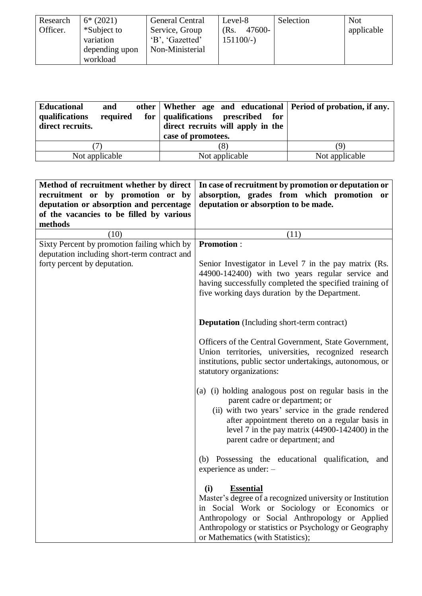| Research | $6*(2021)$     | <b>General Central</b> | Level-8        | Selection | <b>Not</b> |
|----------|----------------|------------------------|----------------|-----------|------------|
| Officer. | *Subject to    | Service, Group         | 47600-<br>(Rs. |           | applicable |
|          | variation      | 'B', 'Gazetted'        | $151100/-$     |           |            |
|          | depending upon | Non-Ministerial        |                |           |            |
|          | workload       |                        |                |           |            |

| <b>Educational</b><br>and<br>qualifications<br>required<br>direct recruits. | other   Whether age and educational   Period of probation, if any.<br>for qualifications prescribed for<br>direct recruits will apply in the<br>case of promotees. |                |
|-----------------------------------------------------------------------------|--------------------------------------------------------------------------------------------------------------------------------------------------------------------|----------------|
|                                                                             |                                                                                                                                                                    |                |
| Not applicable                                                              | Not applicable                                                                                                                                                     | Not applicable |

| Method of recruitment whether by direct      | In case of recruitment by promotion or deputation or                                                                                         |
|----------------------------------------------|----------------------------------------------------------------------------------------------------------------------------------------------|
| recruitment or by promotion or by            | absorption, grades from which promotion or                                                                                                   |
| deputation or absorption and percentage      | deputation or absorption to be made.                                                                                                         |
| of the vacancies to be filled by various     |                                                                                                                                              |
| methods                                      |                                                                                                                                              |
| (10)                                         | (11)                                                                                                                                         |
| Sixty Percent by promotion failing which by  | <b>Promotion:</b>                                                                                                                            |
| deputation including short-term contract and |                                                                                                                                              |
| forty percent by deputation.                 | Senior Investigator in Level 7 in the pay matrix (Rs.                                                                                        |
|                                              | 44900-142400) with two years regular service and                                                                                             |
|                                              | having successfully completed the specified training of                                                                                      |
|                                              | five working days duration by the Department.                                                                                                |
|                                              |                                                                                                                                              |
|                                              |                                                                                                                                              |
|                                              | <b>Deputation</b> (Including short-term contract)                                                                                            |
|                                              | Officers of the Central Government, State Government,                                                                                        |
|                                              | Union territories, universities, recognized research                                                                                         |
|                                              | institutions, public sector undertakings, autonomous, or                                                                                     |
|                                              | statutory organizations:                                                                                                                     |
|                                              |                                                                                                                                              |
|                                              | (a) (i) holding analogous post on regular basis in the                                                                                       |
|                                              | parent cadre or department; or                                                                                                               |
|                                              | (ii) with two years' service in the grade rendered                                                                                           |
|                                              | after appointment thereto on a regular basis in                                                                                              |
|                                              | level 7 in the pay matrix $(44900 - 142400)$ in the                                                                                          |
|                                              | parent cadre or department; and                                                                                                              |
|                                              |                                                                                                                                              |
|                                              | (b) Possessing the educational qualification, and                                                                                            |
|                                              | experience as under: $-$                                                                                                                     |
|                                              |                                                                                                                                              |
|                                              | (i)<br><b>Essential</b>                                                                                                                      |
|                                              | Master's degree of a recognized university or Institution                                                                                    |
|                                              | in Social Work or Sociology or Economics or                                                                                                  |
|                                              |                                                                                                                                              |
|                                              |                                                                                                                                              |
|                                              | Anthropology or Social Anthropology or Applied<br>Anthropology or statistics or Psychology or Geography<br>or Mathematics (with Statistics); |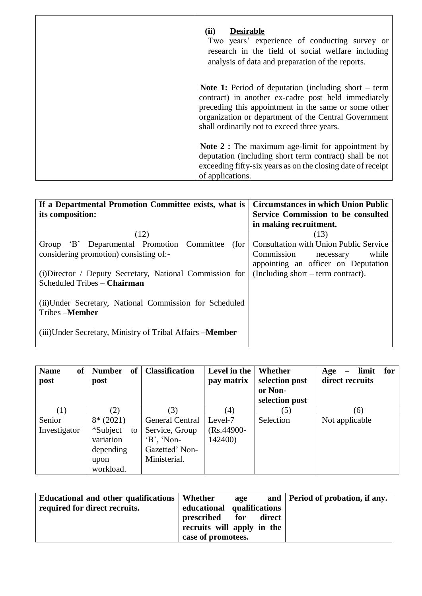| (ii)<br><b>Desirable</b><br>Two years' experience of conducting survey or<br>research in the field of social welfare including<br>analysis of data and preparation of the reports.                                                                                                  |
|-------------------------------------------------------------------------------------------------------------------------------------------------------------------------------------------------------------------------------------------------------------------------------------|
| <b>Note 1:</b> Period of deputation (including short $-$ term<br>contract) in another ex-cadre post held immediately<br>preceding this appointment in the same or some other<br>organization or department of the Central Government<br>shall ordinarily not to exceed three years. |
| <b>Note 2 :</b> The maximum age-limit for appointment by<br>deputation (including short term contract) shall be not<br>exceeding fifty-six years as on the closing date of receipt<br>of applications.                                                                              |

| If a Departmental Promotion Committee exists, what is             | <b>Circumstances in which Union Public</b>    |
|-------------------------------------------------------------------|-----------------------------------------------|
| its composition:                                                  | Service Commission to be consulted            |
|                                                                   | in making recruitment.                        |
| (12)                                                              | (13)                                          |
| Departmental Promotion Committee<br>$\mathbf{B}$<br>(for<br>Group | <b>Consultation with Union Public Service</b> |
| considering promotion) consisting of:-                            | while<br>Commission necessary                 |
|                                                                   | appointing an officer on Deputation           |
| (i) Director / Deputy Secretary, National Commission for          | (Including short – term contract).            |
| Scheduled Tribes - Chairman                                       |                                               |
|                                                                   |                                               |
| (ii) Under Secretary, National Commission for Scheduled           |                                               |
| Tribes-Member                                                     |                                               |
|                                                                   |                                               |
| (iii)Under Secretary, Ministry of Tribal Affairs – <b>Member</b>  |                                               |
|                                                                   |                                               |

| <b>of</b><br><b>Name</b><br>post | <b>of</b><br><b>Number</b><br>post | <b>Classification</b> | Level in the<br>pay matrix | <b>Whether</b><br>selection post<br>or Non- | for<br>limit<br>Age<br>—<br>direct recruits |
|----------------------------------|------------------------------------|-----------------------|----------------------------|---------------------------------------------|---------------------------------------------|
|                                  |                                    |                       |                            | selection post                              |                                             |
| (1)                              | (2)                                | 3)                    | (4)                        | (5)                                         | (6)                                         |
| Senior                           | $8*(2021)$                         | General Central       | Level-7                    | Selection                                   | Not applicable                              |
| Investigator                     | *Subject<br>to                     | Service, Group        | $(Rs.44900 -$              |                                             |                                             |
|                                  | variation                          | $B$ , 'Non-           | 142400)                    |                                             |                                             |
|                                  | depending                          | Gazetted' Non-        |                            |                                             |                                             |
|                                  | upon                               | Ministerial.          |                            |                                             |                                             |
|                                  | workload.                          |                       |                            |                                             |                                             |

| Educational and other qualifications   Whether |                            | age |        | and   Period of probation, if any. |
|------------------------------------------------|----------------------------|-----|--------|------------------------------------|
| required for direct recruits.                  | educational qualifications |     |        |                                    |
|                                                | prescribed for             |     | direct |                                    |
|                                                | recruits will apply in the |     |        |                                    |
|                                                | case of promotees.         |     |        |                                    |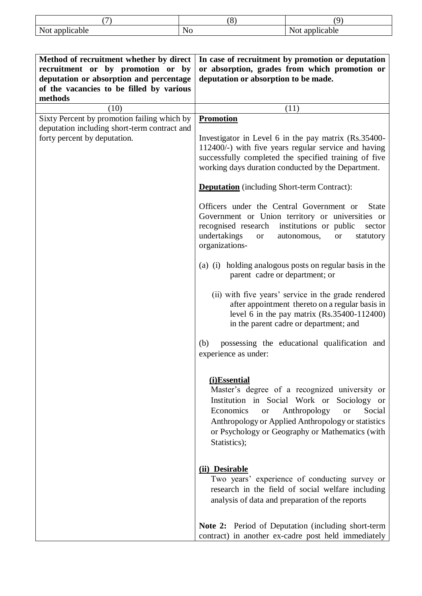|                          | ∼       | $\sim$               |
|--------------------------|---------|----------------------|
| Not app<br>cable<br>,,,, | N<br>,, | :able<br>11 U U<br>ա |

| Method of recruitment whether by direct<br>recruitment or by promotion or by<br>deputation or absorption and percentage<br>of the vacancies to be filled by various<br>methods | In case of recruitment by promotion or deputation<br>or absorption, grades from which promotion or<br>deputation or absorption to be made.                                                                                                                                                                                                                                                                                                                                                                                                                                                                                                                                                                                                                                                                                                                                                                                                                                                                                                                                                                                                                                                                                                                                                                                                                                              |
|--------------------------------------------------------------------------------------------------------------------------------------------------------------------------------|-----------------------------------------------------------------------------------------------------------------------------------------------------------------------------------------------------------------------------------------------------------------------------------------------------------------------------------------------------------------------------------------------------------------------------------------------------------------------------------------------------------------------------------------------------------------------------------------------------------------------------------------------------------------------------------------------------------------------------------------------------------------------------------------------------------------------------------------------------------------------------------------------------------------------------------------------------------------------------------------------------------------------------------------------------------------------------------------------------------------------------------------------------------------------------------------------------------------------------------------------------------------------------------------------------------------------------------------------------------------------------------------|
| (10)                                                                                                                                                                           | (11)                                                                                                                                                                                                                                                                                                                                                                                                                                                                                                                                                                                                                                                                                                                                                                                                                                                                                                                                                                                                                                                                                                                                                                                                                                                                                                                                                                                    |
| Sixty Percent by promotion failing which by<br>deputation including short-term contract and<br>forty percent by deputation.                                                    | <b>Promotion</b><br>Investigator in Level 6 in the pay matrix (Rs.35400-<br>112400/-) with five years regular service and having<br>successfully completed the specified training of five<br>working days duration conducted by the Department.<br><b>Deputation</b> (including Short-term Contract):<br>Officers under the Central Government or<br><b>State</b><br>Government or Union territory or universities or<br>recognised research institutions or public<br>sector<br>undertakings<br>autonomous,<br>statutory<br><b>or</b><br><b>or</b><br>organizations-<br>(a) (i) holding analogous posts on regular basis in the<br>parent cadre or department; or<br>(ii) with five years' service in the grade rendered<br>after appointment thereto on a regular basis in<br>level 6 in the pay matrix $(Rs.35400-112400)$<br>in the parent cadre or department; and<br>possessing the educational qualification and<br>(b)<br>experience as under:<br>(i)Essential<br>Master's degree of a recognized university or<br>Institution in Social Work or Sociology or<br>Anthropology<br>Economics<br>Social<br><b>or</b><br><b>or</b><br>Anthropology or Applied Anthropology or statistics<br>or Psychology or Geography or Mathematics (with<br>Statistics);<br>(ii) Desirable<br>Two years' experience of conducting survey or<br>research in the field of social welfare including |
|                                                                                                                                                                                | analysis of data and preparation of the reports<br><b>Note 2:</b> Period of Deputation (including short-term<br>contract) in another ex-cadre post held immediately                                                                                                                                                                                                                                                                                                                                                                                                                                                                                                                                                                                                                                                                                                                                                                                                                                                                                                                                                                                                                                                                                                                                                                                                                     |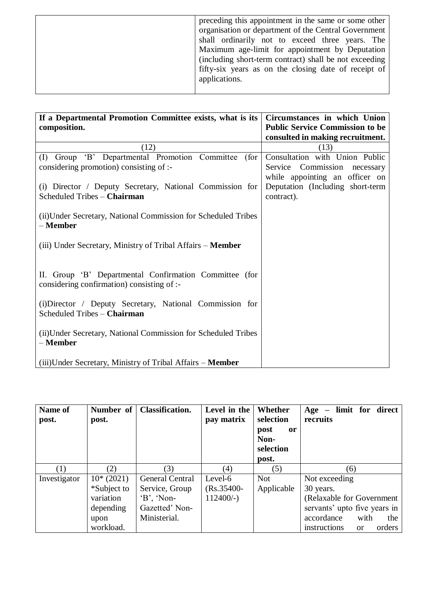|  | preceding this appointment in the same or some other<br>organisation or department of the Central Government<br>shall ordinarily not to exceed three years. The<br>Maximum age-limit for appointment by Deputation<br>(including short-term contract) shall be not exceeding<br>fifty-six years as on the closing date of receipt of<br>applications. |
|--|-------------------------------------------------------------------------------------------------------------------------------------------------------------------------------------------------------------------------------------------------------------------------------------------------------------------------------------------------------|
|--|-------------------------------------------------------------------------------------------------------------------------------------------------------------------------------------------------------------------------------------------------------------------------------------------------------------------------------------------------------|

| If a Departmental Promotion Committee exists, what is its<br>composition.                            | Circumstances in which Union<br><b>Public Service Commission to be</b> |
|------------------------------------------------------------------------------------------------------|------------------------------------------------------------------------|
|                                                                                                      | consulted in making recruitment.                                       |
| (12)                                                                                                 | (13)                                                                   |
| (I) Group 'B' Departmental Promotion Committee (for                                                  | Consultation with Union Public                                         |
| considering promotion) consisting of :-                                                              | Service Commission necessary                                           |
|                                                                                                      | while appointing an officer on                                         |
| (i) Director / Deputy Secretary, National Commission for<br>Scheduled Tribes - Chairman              | Deputation (Including short-term<br>contract).                         |
|                                                                                                      |                                                                        |
| (ii) Under Secretary, National Commission for Scheduled Tribes<br>– Member                           |                                                                        |
| (iii) Under Secretary, Ministry of Tribal Affairs – <b>Member</b>                                    |                                                                        |
| II. Group 'B' Departmental Confirmation Committee (for<br>considering confirmation) consisting of :- |                                                                        |
| (i) Director / Deputy Secretary, National Commission for<br>Scheduled Tribes - Chairman              |                                                                        |
| (ii) Under Secretary, National Commission for Scheduled Tribes<br>– Member                           |                                                                        |
| (iii) Under Secretary, Ministry of Tribal Affairs – <b>Member</b>                                    |                                                                        |

| Name of<br>post. | Number of<br>post. | <b>Classification.</b> | Level in the<br>pay matrix | Whether<br>selection<br>post<br><sub>or</sub><br>Non-<br>selection<br>post. | $Age - limit for direct$<br>recruits    |
|------------------|--------------------|------------------------|----------------------------|-----------------------------------------------------------------------------|-----------------------------------------|
| $\left(1\right)$ | (2)                | (3)                    | $\left( 4\right)$          | (5)                                                                         | (6)                                     |
| Investigator     | $10*(2021)$        | <b>General Central</b> | Level-6                    | <b>Not</b>                                                                  | Not exceeding                           |
|                  | *Subject to        | Service, Group         | $(Rs.35400-$               | Applicable                                                                  | 30 years.                               |
|                  | variation          | $B$ , 'Non-            | $112400/-$ )               |                                                                             | (Relaxable for Government)              |
|                  | depending          | Gazetted' Non-         |                            |                                                                             | servants' upto five years in            |
|                  | upon               | Ministerial.           |                            |                                                                             | with<br>accordance<br>the               |
|                  | workload.          |                        |                            |                                                                             | orders<br>instructions<br><sub>or</sub> |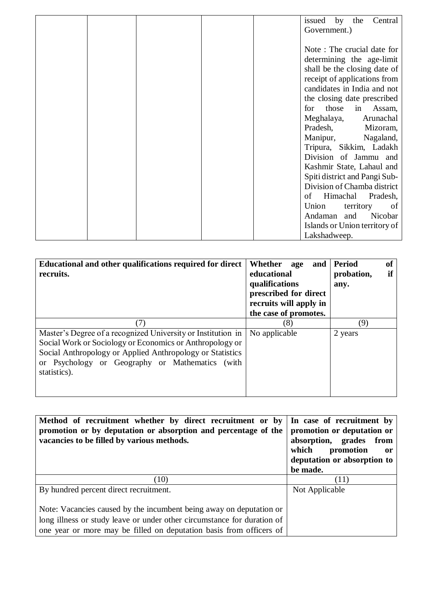|  |  | by<br>Central<br>the<br>issued |
|--|--|--------------------------------|
|  |  | Government.)                   |
|  |  |                                |
|  |  | Note: The crucial date for     |
|  |  | determining the age-limit      |
|  |  | shall be the closing date of   |
|  |  | receipt of applications from   |
|  |  | candidates in India and not    |
|  |  | the closing date prescribed    |
|  |  | those in Assam,<br>for         |
|  |  | Meghalaya,<br>Arunachal        |
|  |  | Pradesh,<br>Mizoram,           |
|  |  | Manipur,<br>Nagaland,          |
|  |  | Tripura, Sikkim, Ladakh        |
|  |  | Division of Jammu and          |
|  |  | Kashmir State, Lahaul and      |
|  |  | Spiti district and Pangi Sub-  |
|  |  | Division of Chamba district    |
|  |  | Himachal<br>of<br>Pradesh,     |
|  |  | Union<br>territory<br>of       |
|  |  | Andaman and Nicobar            |
|  |  | Islands or Union territory of  |
|  |  | Lakshadweep.                   |

| Educational and other qualifications required for direct<br>recruits.                                                                                                                                                                                    | Whether<br>and<br>age<br>educational<br>qualifications<br>prescribed for direct<br>recruits will apply in<br>the case of promotes. | <b>Period</b><br>of<br>if<br>probation,<br>any. |
|----------------------------------------------------------------------------------------------------------------------------------------------------------------------------------------------------------------------------------------------------------|------------------------------------------------------------------------------------------------------------------------------------|-------------------------------------------------|
| (7)                                                                                                                                                                                                                                                      | (8)                                                                                                                                | (9)                                             |
| Master's Degree of a recognized University or Institution in<br>Social Work or Sociology or Economics or Anthropology or<br>Social Anthropology or Applied Anthropology or Statistics<br>or Psychology or Geography or Mathematics (with<br>statistics). | No applicable                                                                                                                      | 2 years                                         |

| Method of recruitment whether by direct recruitment or by<br>promotion or by deputation or absorption and percentage of the<br>vacancies to be filled by various methods. | In case of recruitment by<br>promotion or deputation or<br>absorption, grades from<br>which<br>promotion<br>or<br>deputation or absorption to<br>be made. |
|---------------------------------------------------------------------------------------------------------------------------------------------------------------------------|-----------------------------------------------------------------------------------------------------------------------------------------------------------|
| (10)                                                                                                                                                                      | (11)                                                                                                                                                      |
| By hundred percent direct recruitment.                                                                                                                                    | Not Applicable                                                                                                                                            |
| Note: Vacancies caused by the incumbent being away on deputation or                                                                                                       |                                                                                                                                                           |
| long illness or study leave or under other circumstance for duration of                                                                                                   |                                                                                                                                                           |
| one year or more may be filled on deputation basis from officers of                                                                                                       |                                                                                                                                                           |